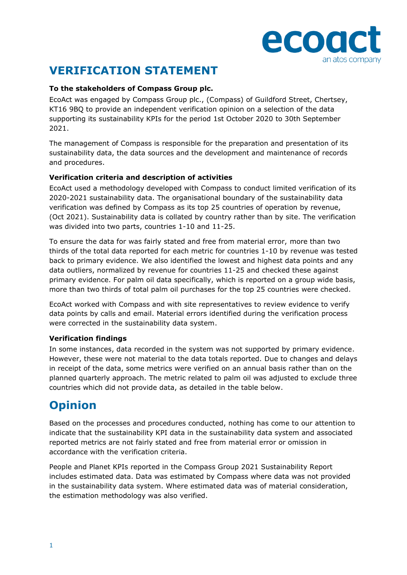

# **VERIFICATION STATEMENT**

### **To the stakeholders of Compass Group plc.**

EcoAct was engaged by Compass Group plc., (Compass) of Guildford Street, Chertsey, KT16 9BQ to provide an independent verification opinion on a selection of the data supporting its sustainability KPIs for the period 1st October 2020 to 30th September 2021.

The management of Compass is responsible for the preparation and presentation of its sustainability data, the data sources and the development and maintenance of records and procedures.

### **Verification criteria and description of activities**

EcoAct used a methodology developed with Compass to conduct limited verification of its 2020-2021 sustainability data. The organisational boundary of the sustainability data verification was defined by Compass as its top 25 countries of operation by revenue, (Oct 2021). Sustainability data is collated by country rather than by site. The verification was divided into two parts, countries 1-10 and 11-25.

To ensure the data for was fairly stated and free from material error, more than two thirds of the total data reported for each metric for countries 1-10 by revenue was tested back to primary evidence. We also identified the lowest and highest data points and any data outliers, normalized by revenue for countries 11-25 and checked these against primary evidence. For palm oil data specifically, which is reported on a group wide basis, more than two thirds of total palm oil purchases for the top 25 countries were checked.

EcoAct worked with Compass and with site representatives to review evidence to verify data points by calls and email. Material errors identified during the verification process were corrected in the sustainability data system.

#### **Verification findings**

In some instances, data recorded in the system was not supported by primary evidence. However, these were not material to the data totals reported. Due to changes and delays in receipt of the data, some metrics were verified on an annual basis rather than on the planned quarterly approach. The metric related to palm oil was adjusted to exclude three countries which did not provide data, as detailed in the table below.

## **Opinion**

Based on the processes and procedures conducted, nothing has come to our attention to indicate that the sustainability KPI data in the sustainability data system and associated reported metrics are not fairly stated and free from material error or omission in accordance with the verification criteria.

People and Planet KPIs reported in the Compass Group 2021 Sustainability Report includes estimated data. Data was estimated by Compass where data was not provided in the sustainability data system. Where estimated data was of material consideration, the estimation methodology was also verified.